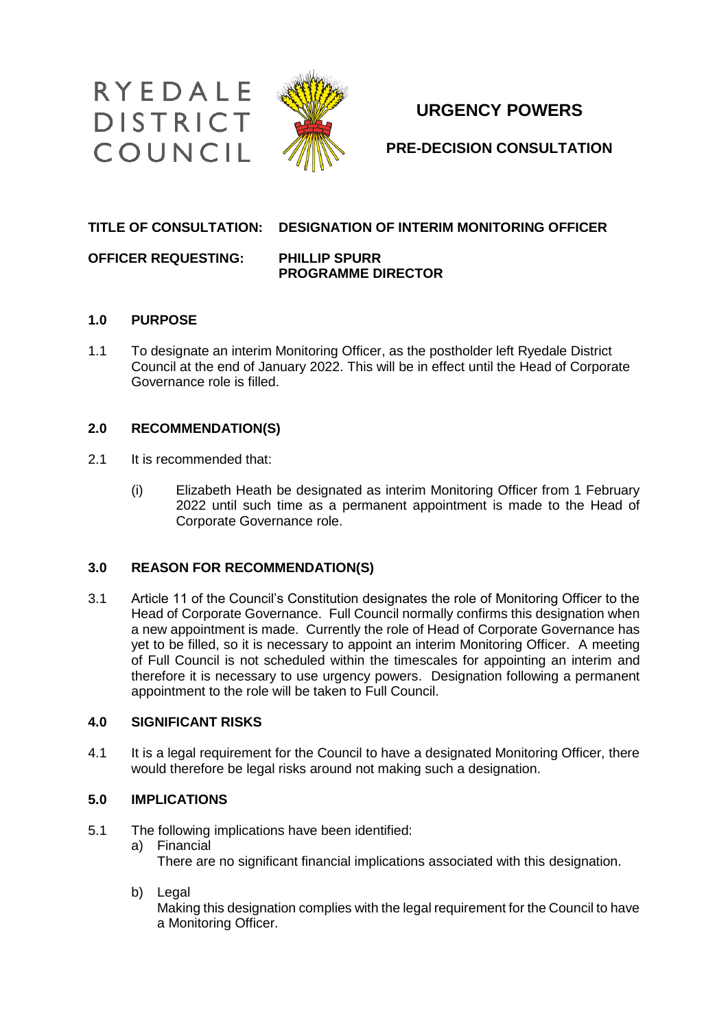

# **URGENCY POWERS**

**PRE-DECISION CONSULTATION**

### **TITLE OF CONSULTATION: DESIGNATION OF INTERIM MONITORING OFFICER**

**OFFICER REQUESTING: PHILLIP SPURR**

# **PROGRAMME DIRECTOR**

### **1.0 PURPOSE**

1.1 To designate an interim Monitoring Officer, as the postholder left Ryedale District Council at the end of January 2022. This will be in effect until the Head of Corporate Governance role is filled.

#### **2.0 RECOMMENDATION(S)**

- 2.1 It is recommended that:
	- (i) Elizabeth Heath be designated as interim Monitoring Officer from 1 February 2022 until such time as a permanent appointment is made to the Head of Corporate Governance role.

### **3.0 REASON FOR RECOMMENDATION(S)**

3.1 Article 11 of the Council's Constitution designates the role of Monitoring Officer to the Head of Corporate Governance. Full Council normally confirms this designation when a new appointment is made. Currently the role of Head of Corporate Governance has yet to be filled, so it is necessary to appoint an interim Monitoring Officer. A meeting of Full Council is not scheduled within the timescales for appointing an interim and therefore it is necessary to use urgency powers. Designation following a permanent appointment to the role will be taken to Full Council.

### **4.0 SIGNIFICANT RISKS**

4.1 It is a legal requirement for the Council to have a designated Monitoring Officer, there would therefore be legal risks around not making such a designation.

### **5.0 IMPLICATIONS**

- 5.1 The following implications have been identified:
	- a) Financial

There are no significant financial implications associated with this designation.

b) Legal

Making this designation complies with the legal requirement for the Council to have a Monitoring Officer.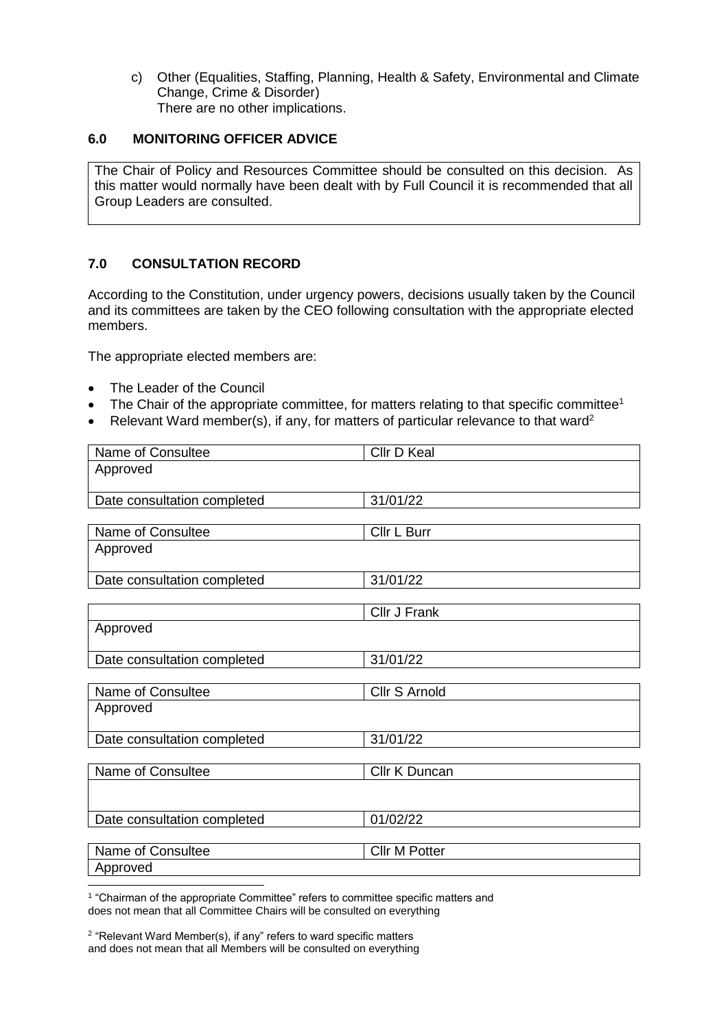c) Other (Equalities, Staffing, Planning, Health & Safety, Environmental and Climate Change, Crime & Disorder) There are no other implications.

#### **6.0 MONITORING OFFICER ADVICE**

The Chair of Policy and Resources Committee should be consulted on this decision. As this matter would normally have been dealt with by Full Council it is recommended that all Group Leaders are consulted.

#### **7.0 CONSULTATION RECORD**

According to the Constitution, under urgency powers, decisions usually taken by the Council and its committees are taken by the CEO following consultation with the appropriate elected members.

The appropriate elected members are:

- The Leader of the Council
- The Chair of the appropriate committee, for matters relating to that specific committee<sup>1</sup>
- Relevant Ward member(s), if any, for matters of particular relevance to that ward<sup>2</sup>

| Name of Consultee           | Cllr D Keal          |
|-----------------------------|----------------------|
| Approved                    |                      |
|                             |                      |
| Date consultation completed | 31/01/22             |
| Name of Consultee           | Cllr L Burr          |
| Approved                    |                      |
|                             |                      |
| Date consultation completed | 31/01/22             |
|                             |                      |
|                             | Cllr J Frank         |
| Approved                    |                      |
| Date consultation completed | 31/01/22             |
|                             |                      |
| Name of Consultee           | Cllr S Arnold        |
| Approved                    |                      |
| Date consultation completed | 31/01/22             |
| Name of Consultee           | Cllr K Duncan        |
|                             |                      |
|                             |                      |
| Date consultation completed | 01/02/22             |
|                             |                      |
| Name of Consultee           | <b>Cllr M Potter</b> |
| Approved                    |                      |

-<sup>1</sup> "Chairman of the appropriate Committee" refers to committee specific matters and does not mean that all Committee Chairs will be consulted on everything

<sup>2</sup> "Relevant Ward Member(s), if any" refers to ward specific matters and does not mean that all Members will be consulted on everything